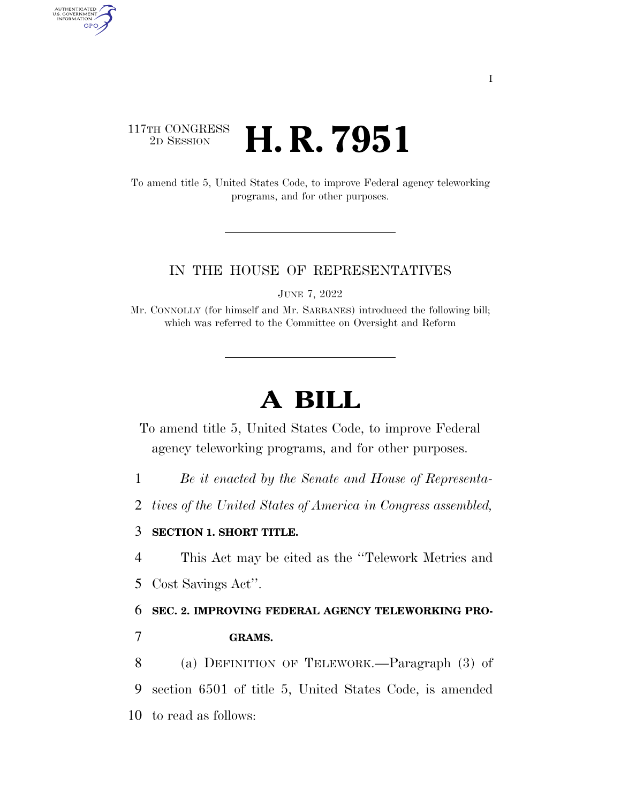# 117TH CONGRESS <sup>2D SESSION</sup> **H. R. 7951**

AUTHENTICATED<br>U.S. GOVERNMENT<br>INFORMATION GPO

> To amend title 5, United States Code, to improve Federal agency teleworking programs, and for other purposes.

#### IN THE HOUSE OF REPRESENTATIVES

JUNE 7, 2022

Mr. CONNOLLY (for himself and Mr. SARBANES) introduced the following bill; which was referred to the Committee on Oversight and Reform

# **A BILL**

To amend title 5, United States Code, to improve Federal agency teleworking programs, and for other purposes.

1 *Be it enacted by the Senate and House of Representa-*

2 *tives of the United States of America in Congress assembled,* 

## 3 **SECTION 1. SHORT TITLE.**

4 This Act may be cited as the ''Telework Metrics and

5 Cost Savings Act''.

6 **SEC. 2. IMPROVING FEDERAL AGENCY TELEWORKING PRO-**

7 **GRAMS.** 

8 (a) DEFINITION OF TELEWORK.—Paragraph (3) of 9 section 6501 of title 5, United States Code, is amended 10 to read as follows: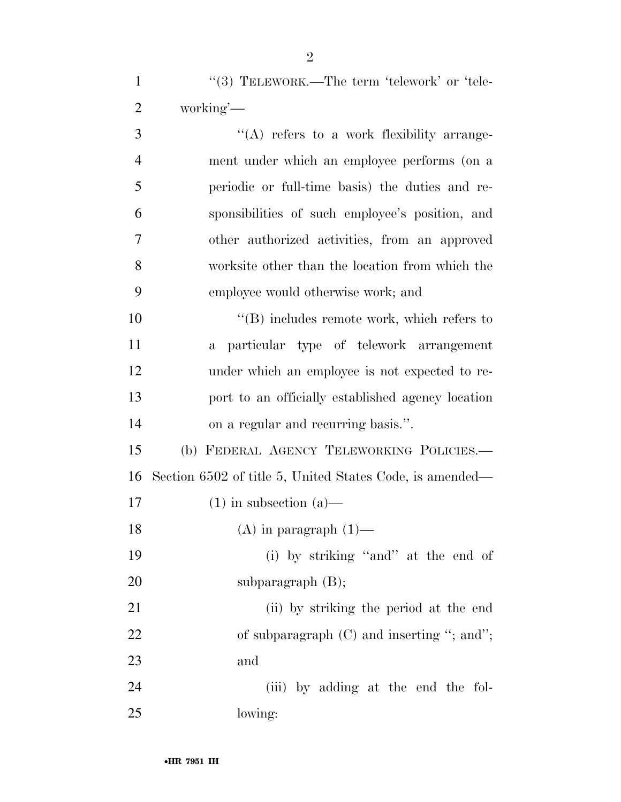1 "(3) TELEWORK.—The term 'telework' or 'tele-working'—

3 ''(A) refers to a work flexibility arrange- ment under which an employee performs (on a periodic or full-time basis) the duties and re- sponsibilities of such employee's position, and other authorized activities, from an approved worksite other than the location from which the employee would otherwise work; and  $\langle \text{B} \rangle$  includes remote work, which refers to a particular type of telework arrangement under which an employee is not expected to re- port to an officially established agency location on a regular and recurring basis.''.

 (b) FEDERAL AGENCY TELEWORKING POLICIES.— Section 6502 of title 5, United States Code, is amended— 17 (1) in subsection  $(a)$ —

18  $(A)$  in paragraph  $(1)$ —

 (i) by striking ''and'' at the end of 20 subparagraph (B);

 (ii) by striking the period at the end 22 of subparagraph (C) and inserting "; and"; and

 (iii) by adding at the end the fol-lowing: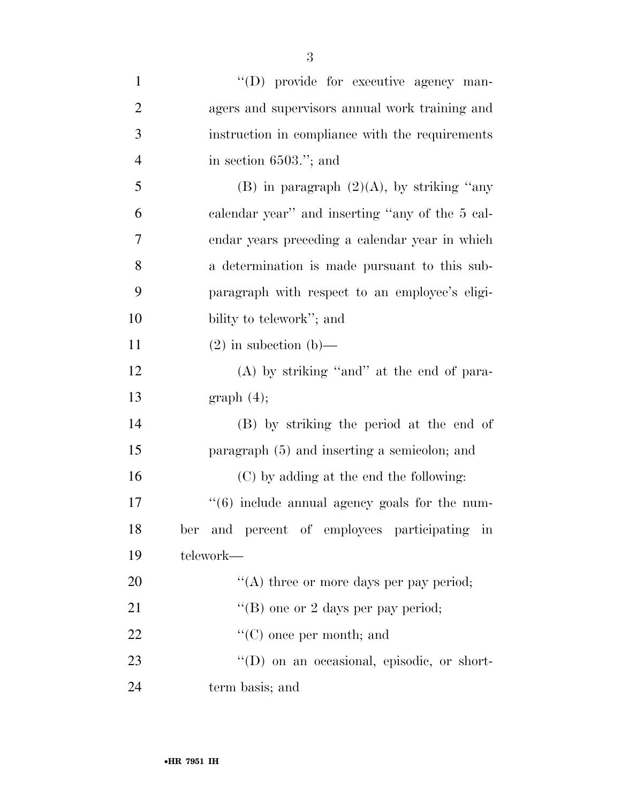| $\mathbf{1}$   | "(D) provide for executive agency man-             |
|----------------|----------------------------------------------------|
| $\overline{2}$ | agers and supervisors annual work training and     |
| 3              | instruction in compliance with the requirements    |
| $\overline{4}$ | in section $6503$ ."; and                          |
| 5              | (B) in paragraph $(2)(A)$ , by striking "any       |
| 6              | calendar year" and inserting "any of the 5 cal-    |
| 7              | endar years preceding a calendar year in which     |
| 8              | a determination is made pursuant to this sub-      |
| 9              | paragraph with respect to an employee's eligi-     |
| 10             | bility to telework"; and                           |
| 11             | $(2)$ in subsection $(b)$ —                        |
| 12             | $(A)$ by striking "and" at the end of para-        |
| 13             | graph(4);                                          |
| 14             | (B) by striking the period at the end of           |
| 15             | paragraph (5) and inserting a semicolon; and       |
| 16             | (C) by adding at the end the following:            |
| 17             | "(6) include annual agency goals for the num-      |
| 18             | ber and percent of employees participating in      |
| 19             | telework-                                          |
| 20             | "(A) three or more days per pay period;            |
| 21             | "(B) one or 2 days per pay period;                 |
| 22             | $\lq\lq$ (C) once per month; and                   |
| 23             | $\lq\lq$ (D) on an occasional, episodic, or short- |
| 24             | term basis; and                                    |

3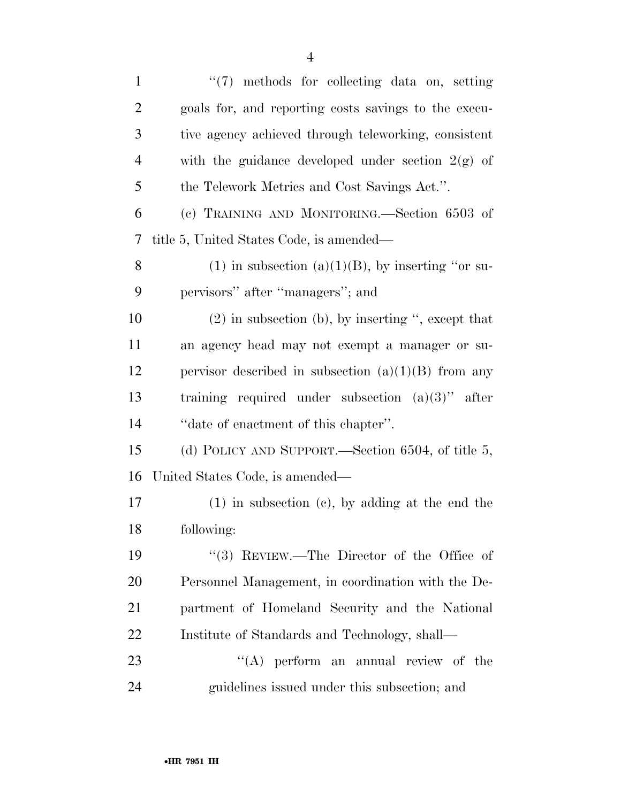| $\mathbf{1}$   | "(7) methods for collecting data on, setting           |
|----------------|--------------------------------------------------------|
| $\overline{c}$ | goals for, and reporting costs savings to the execu-   |
| 3              | tive agency achieved through teleworking, consistent   |
| $\overline{4}$ | with the guidance developed under section $2(g)$ of    |
| 5              | the Telework Metrics and Cost Savings Act.".           |
| 6              | (c) TRAINING AND MONITORING.—Section 6503 of           |
| 7              | title 5, United States Code, is amended—               |
| 8              | $(1)$ in subsection $(a)(1)(B)$ , by inserting "or su- |
| 9              | pervisors" after "managers"; and                       |
| 10             | $(2)$ in subsection (b), by inserting ", except that   |
| 11             | an agency head may not exempt a manager or su-         |
| 12             | pervisor described in subsection $(a)(1)(B)$ from any  |
| 13             | training required under subsection $(a)(3)$ " after    |
| 14             | "date of enactment of this chapter".                   |
| 15             | (d) POLICY AND SUPPORT.—Section 6504, of title 5,      |
| 16             | United States Code, is amended—                        |
| 17             | $(1)$ in subsection $(e)$ , by adding at the end the   |
| 18             | following:                                             |
| 19             | $(3)$ REVIEW.—The Director of the Office of            |
| 20             | Personnel Management, in coordination with the De-     |
| 21             | partment of Homeland Security and the National         |
| 22             | Institute of Standards and Technology, shall—          |
| 23             | $\lq\lq$ perform an annual review of the               |
| 24             | guidelines issued under this subsection; and           |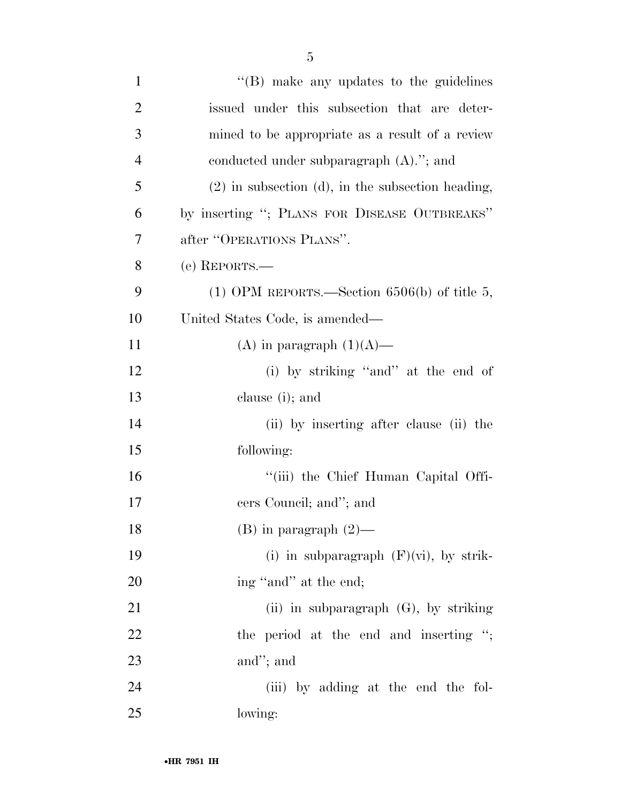| $\mathbf{1}$   | $\lq\lq$ (B) make any updates to the guidelines        |
|----------------|--------------------------------------------------------|
| $\overline{2}$ | issued under this subsection that are deter-           |
| 3              | mined to be appropriate as a result of a review        |
| $\overline{4}$ | conducted under subparagraph $(A)$ ."; and             |
| 5              | $(2)$ in subsection $(d)$ , in the subsection heading, |
| 6              | by inserting "; PLANS FOR DISEASE OUTBREAKS"           |
| 7              | after "OPERATIONS PLANS".                              |
| 8              | (e) REPORTS.—                                          |
| 9              | (1) OPM REPORTS.—Section $6506(b)$ of title 5,         |
| 10             | United States Code, is amended—                        |
| 11             | (A) in paragraph $(1)(A)$ —                            |
| 12             | (i) by striking "and" at the end of                    |
| 13             | clause (i); and                                        |
| 14             | (ii) by inserting after clause (ii) the                |
| 15             | following:                                             |
| 16             | "(iii) the Chief Human Capital Offi-                   |
| 17             | cers Council; and"; and                                |
| 18             | $(B)$ in paragraph $(2)$ —                             |
| 19             | (i) in subparagraph $(F)(vi)$ , by strik-              |
| 20             | ing "and" at the end;                                  |
| 21             | (ii) in subparagraph $(G)$ , by striking               |
| 22             | the period at the end and inserting ";                 |
| 23             | and"; and                                              |
| 24             | (iii) by adding at the end the fol-                    |
| 25             | lowing:                                                |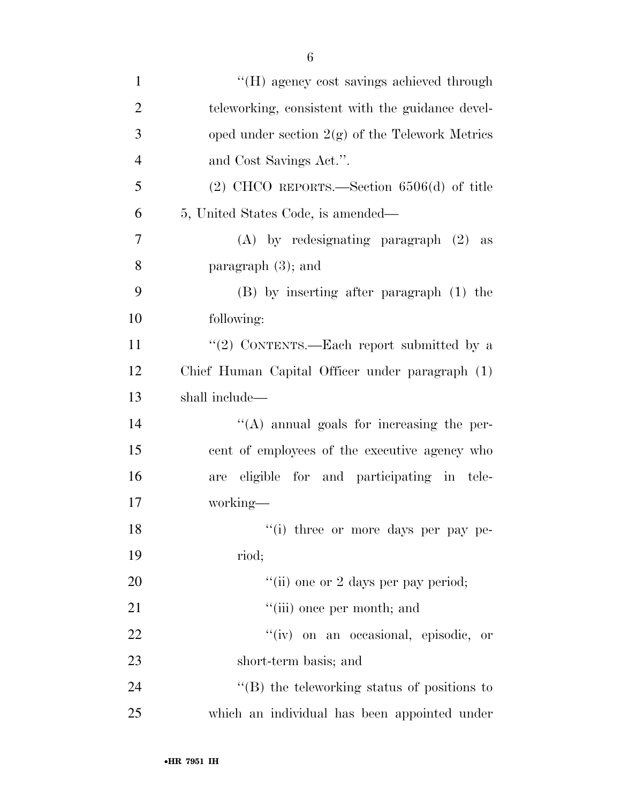| $\mathbf{1}$   | "(H) agency cost savings achieved through         |
|----------------|---------------------------------------------------|
| $\overline{2}$ | teleworking, consistent with the guidance devel-  |
| 3              | oped under section $2(g)$ of the Telework Metrics |
| $\overline{4}$ | and Cost Savings Act.".                           |
| 5              | $(2)$ CHCO REPORTS.—Section 6506 $(d)$ of title   |
| 6              | 5, United States Code, is amended—                |
| 7              | $(A)$ by redesignating paragraph $(2)$ as         |
| 8              | paragraph $(3)$ ; and                             |
| 9              | (B) by inserting after paragraph (1) the          |
| 10             | following:                                        |
| 11             | "(2) CONTENTS.—Each report submitted by a         |
| 12             | Chief Human Capital Officer under paragraph (1)   |
| 13             | shall include—                                    |
| 14             | $\lq\lq$ annual goals for increasing the per-     |
| 15             | cent of employees of the executive agency who     |
| 16             | are eligible for and participating in tele-       |
| 17             | working-                                          |
| 18             | "(i) three or more days per pay pe-               |
| 19             | riod;                                             |
| 20             | "(ii) one or 2 days per pay period;               |
| 21             | "(iii) once per month; and                        |
| 22             | "(iv) on an occasional, episodic, or              |
| 23             | short-term basis; and                             |
| 24             | $\lq\lq$ the teleworking status of positions to   |
| 25             | which an individual has been appointed under      |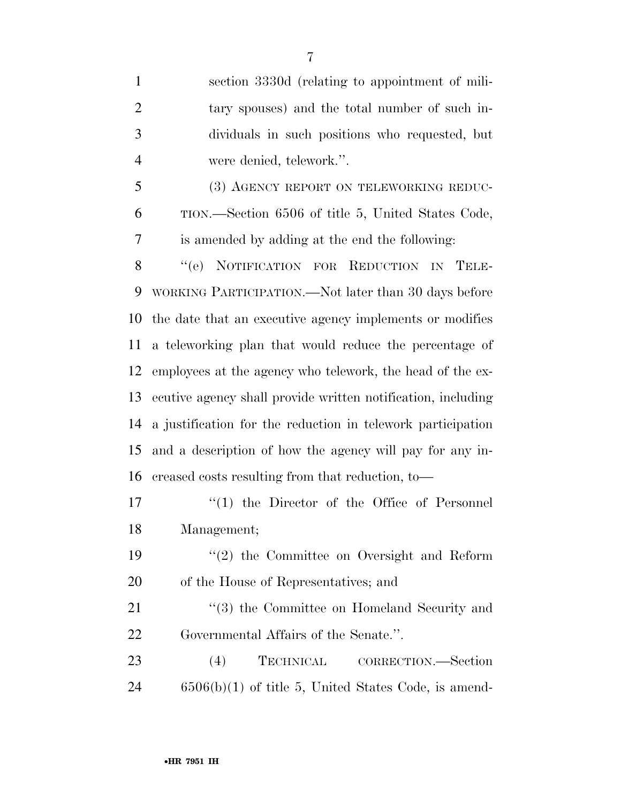section 3330d (relating to appointment of mili- tary spouses) and the total number of such in- dividuals in such positions who requested, but were denied, telework.''.

5 (3) AGENCY REPORT ON TELEWORKING REDUC- TION.—Section 6506 of title 5, United States Code, is amended by adding at the end the following:

 ''(e) NOTIFICATION FOR REDUCTION IN TELE- WORKING PARTICIPATION.—Not later than 30 days before the date that an executive agency implements or modifies a teleworking plan that would reduce the percentage of employees at the agency who telework, the head of the ex- ecutive agency shall provide written notification, including a justification for the reduction in telework participation and a description of how the agency will pay for any in-creased costs resulting from that reduction, to—

17  $\frac{1}{2}$  (1) the Director of the Office of Personnel Management;

 ''(2) the Committee on Oversight and Reform of the House of Representatives; and

21 ''(3) the Committee on Homeland Security and Governmental Affairs of the Senate.''.

23 (4) TECHNICAL CORRECTION.—Section 6506(b)(1) of title 5, United States Code, is amend-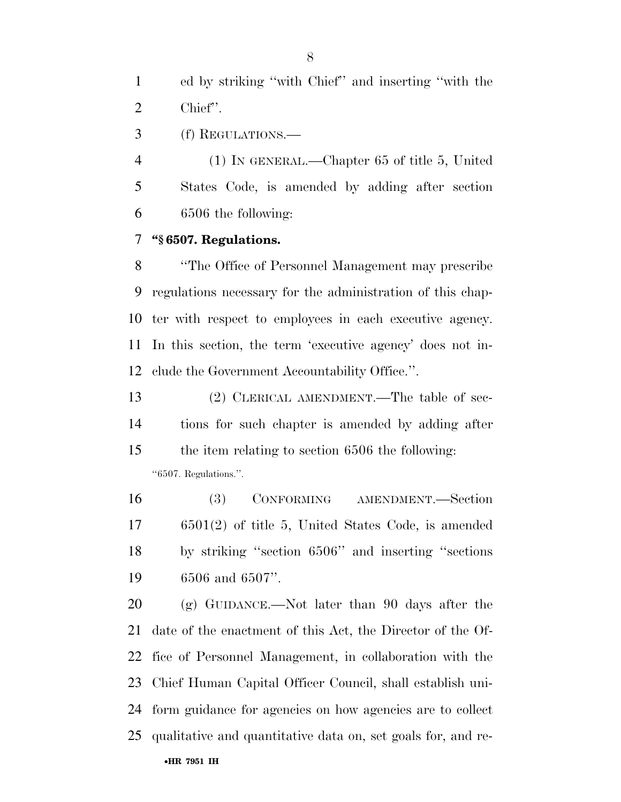ed by striking ''with Chief'' and inserting ''with the Chief''.

(f) REGULATIONS.—

 (1) IN GENERAL.—Chapter 65 of title 5, United States Code, is amended by adding after section 6506 the following:

### **''§ 6507. Regulations.**

 ''The Office of Personnel Management may prescribe regulations necessary for the administration of this chap- ter with respect to employees in each executive agency. In this section, the term 'executive agency' does not in-clude the Government Accountability Office.''.

 (2) CLERICAL AMENDMENT.—The table of sec- tions for such chapter is amended by adding after the item relating to section 6506 the following: ''6507. Regulations.''.

 (3) CONFORMING AMENDMENT.—Section 6501(2) of title 5, United States Code, is amended by striking ''section 6506'' and inserting ''sections 6506 and 6507''.

•**HR 7951 IH** (g) GUIDANCE.—Not later than 90 days after the date of the enactment of this Act, the Director of the Of- fice of Personnel Management, in collaboration with the Chief Human Capital Officer Council, shall establish uni- form guidance for agencies on how agencies are to collect qualitative and quantitative data on, set goals for, and re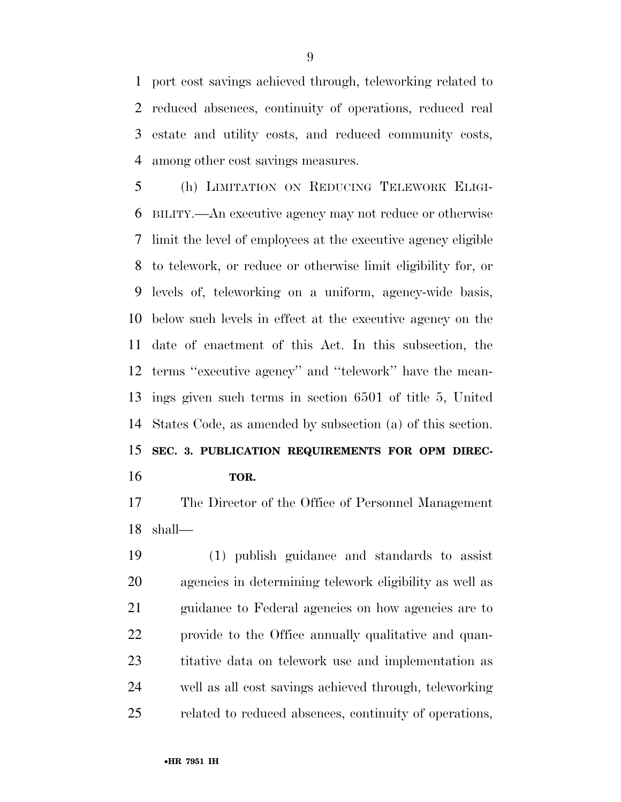port cost savings achieved through, teleworking related to reduced absences, continuity of operations, reduced real estate and utility costs, and reduced community costs, among other cost savings measures.

 (h) LIMITATION ON REDUCING TELEWORK ELIGI- BILITY.—An executive agency may not reduce or otherwise limit the level of employees at the executive agency eligible to telework, or reduce or otherwise limit eligibility for, or levels of, teleworking on a uniform, agency-wide basis, below such levels in effect at the executive agency on the date of enactment of this Act. In this subsection, the terms ''executive agency'' and ''telework'' have the mean- ings given such terms in section 6501 of title 5, United States Code, as amended by subsection (a) of this section. **SEC. 3. PUBLICATION REQUIREMENTS FOR OPM DIREC-**

**TOR.** 

 The Director of the Office of Personnel Management shall—

 (1) publish guidance and standards to assist agencies in determining telework eligibility as well as guidance to Federal agencies on how agencies are to provide to the Office annually qualitative and quan- titative data on telework use and implementation as well as all cost savings achieved through, teleworking related to reduced absences, continuity of operations,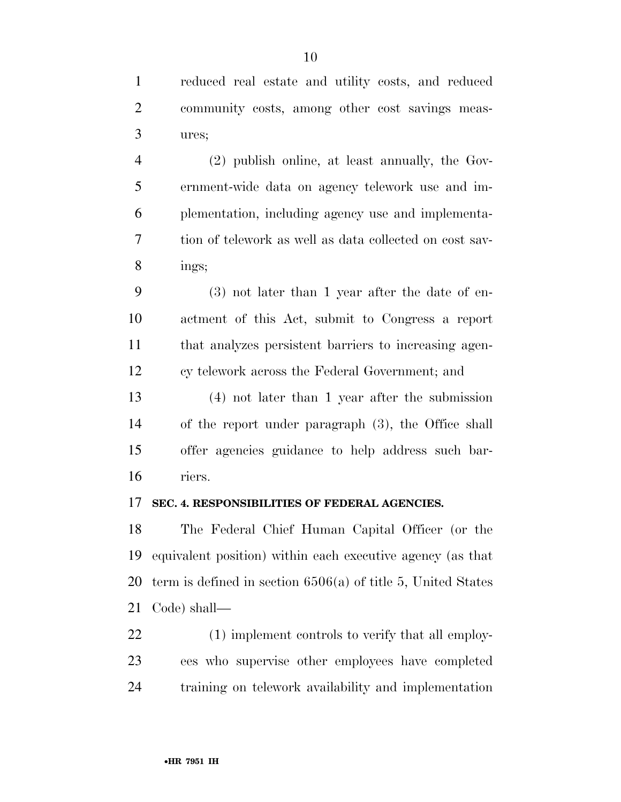reduced real estate and utility costs, and reduced community costs, among other cost savings meas-ures;

 (2) publish online, at least annually, the Gov- ernment-wide data on agency telework use and im- plementation, including agency use and implementa- tion of telework as well as data collected on cost sav-ings;

 (3) not later than 1 year after the date of en- actment of this Act, submit to Congress a report that analyzes persistent barriers to increasing agen-cy telework across the Federal Government; and

 (4) not later than 1 year after the submission of the report under paragraph (3), the Office shall offer agencies guidance to help address such bar-riers.

#### **SEC. 4. RESPONSIBILITIES OF FEDERAL AGENCIES.**

 The Federal Chief Human Capital Officer (or the equivalent position) within each executive agency (as that term is defined in section 6506(a) of title 5, United States Code) shall—

 (1) implement controls to verify that all employ- ees who supervise other employees have completed training on telework availability and implementation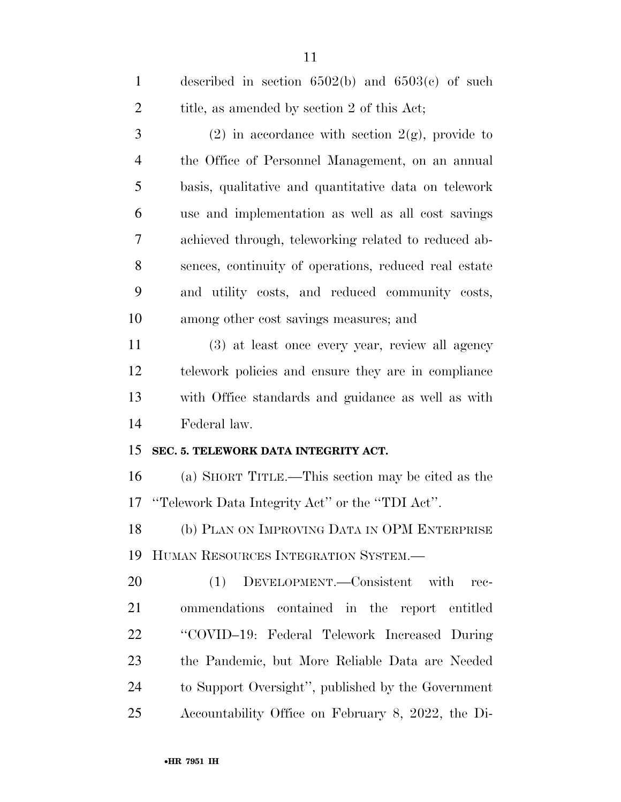| $\mathbf{1}$   | described in section $6502(b)$ and $6503(c)$ of such  |
|----------------|-------------------------------------------------------|
| $\overline{2}$ | title, as amended by section 2 of this Act;           |
| 3              | (2) in accordance with section $2(g)$ , provide to    |
| $\overline{4}$ | the Office of Personnel Management, on an annual      |
| 5              | basis, qualitative and quantitative data on telework  |
| 6              | use and implementation as well as all cost savings    |
| 7              | achieved through, teleworking related to reduced ab-  |
| 8              | sences, continuity of operations, reduced real estate |
| 9              | and utility costs, and reduced community costs,       |
| 10             | among other cost savings measures; and                |
| 11             | (3) at least once every year, review all agency       |
| 12             | telework policies and ensure they are in compliance   |
| 13             | with Office standards and guidance as well as with    |
| 14             | Federal law.                                          |
| 15             | SEC. 5. TELEWORK DATA INTEGRITY ACT.                  |
| 16             | (a) SHORT TITLE.—This section may be cited as the     |
| 17             | "Telework Data Integrity Act" or the "TDI Act".       |
| 18             | (b) PLAN ON IMPROVING DATA IN OPM ENTERPRISE          |
| 19             | HUMAN RESOURCES INTEGRATION SYSTEM.-                  |
| 20             | DEVELOPMENT.—Consistent with<br>(1)<br>$rec-$         |
| 21             | ommendations contained in the report entitled         |
| 22             | "COVID-19: Federal Telework Increased During          |
| 23             | the Pandemic, but More Reliable Data are Needed       |
| 24             | to Support Oversight", published by the Government    |
| 25             | Accountability Office on February 8, 2022, the Di-    |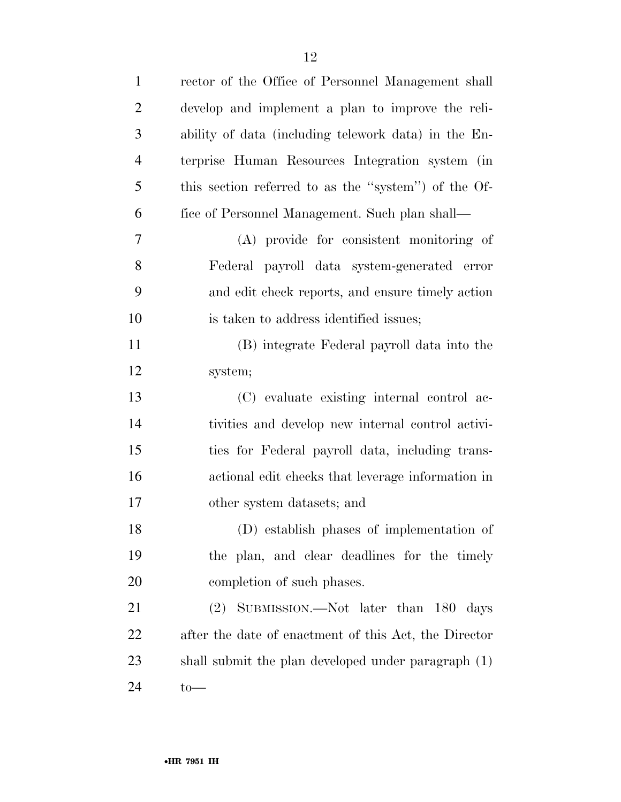| $\mathbf{1}$   | rector of the Office of Personnel Management shall    |
|----------------|-------------------------------------------------------|
| $\overline{2}$ | develop and implement a plan to improve the reli-     |
| 3              | ability of data (including telework data) in the En-  |
| $\overline{4}$ | terprise Human Resources Integration system (in       |
| 5              | this section referred to as the "system") of the Of-  |
| 6              | fice of Personnel Management. Such plan shall—        |
| 7              | (A) provide for consistent monitoring of              |
| 8              | Federal payroll data system-generated error           |
| 9              | and edit check reports, and ensure timely action      |
| 10             | is taken to address identified issues;                |
| 11             | (B) integrate Federal payroll data into the           |
| 12             | system;                                               |
| 13             | (C) evaluate existing internal control ac-            |
| 14             | tivities and develop new internal control activi-     |
| 15             | ties for Federal payroll data, including trans-       |
| 16             | actional edit checks that leverage information in     |
| 17             | other system datasets; and                            |
| 18             | (D) establish phases of implementation of             |
| 19             | the plan, and clear deadlines for the timely          |
| 20             | completion of such phases.                            |
| 21             | (2) SUBMISSION.—Not later than 180 days               |
| <u>22</u>      | after the date of enactment of this Act, the Director |
| 23             | shall submit the plan developed under paragraph (1)   |
| 24             | $to-$                                                 |